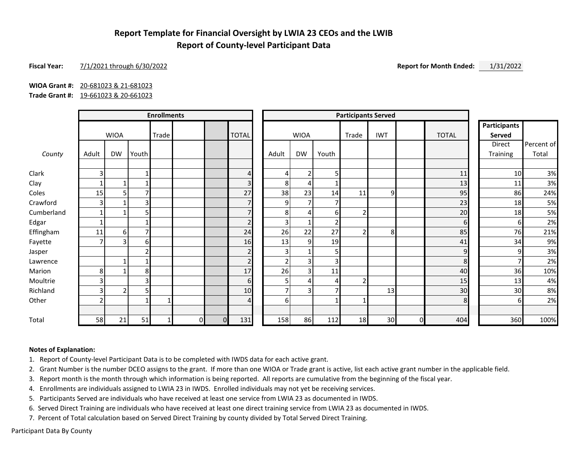## **Report Template for Financial Oversight by LWIA 23 CEOs and the LWIB Report of County-level Participant Data**

### **Fiscal Year:** 7/1/2021 through 6/30/2022 **Report for Month Ended:** 1/31/2022

### **WIOA Grant #:** 20-681023 & 21-681023

**Trade Grant #:** 19-661023 & 20-661023

|            | <b>Enrollments</b>      |                |                         |       |    | <b>Participants Served</b> |                |                |                |       |       |            |    |              |                               |            |
|------------|-------------------------|----------------|-------------------------|-------|----|----------------------------|----------------|----------------|----------------|-------|-------|------------|----|--------------|-------------------------------|------------|
|            |                         | <b>WIOA</b>    |                         | Trade |    |                            | <b>TOTAL</b>   |                | <b>WIOA</b>    |       | Trade | <b>IWT</b> |    | <b>TOTAL</b> | <b>Participants</b><br>Served |            |
|            |                         |                |                         |       |    |                            |                |                |                |       |       |            |    |              | Direct                        | Percent of |
| County     | Adult                   | <b>DW</b>      | Youth                   |       |    |                            |                | Adult          | DW             | Youth |       |            |    |              | Training                      | Total      |
| Clark      | 3                       |                |                         |       |    |                            | $\overline{4}$ | 4              | $\overline{2}$ | 51    |       |            |    | 11           | 10                            | 3%         |
| Clay       |                         |                |                         |       |    |                            | 3              | 8              | 4              |       |       |            |    | 13           | 11                            | 3%         |
| Coles      | 15                      | 5              |                         |       |    |                            | 27             | 38             | 23             | 14    | 11    | q          |    | 95           | 86                            | 24%        |
| Crawford   | 3                       |                | $\overline{\mathbf{3}}$ |       |    |                            | $\overline{7}$ | 9              | $\overline{7}$ |       |       |            |    | 23           | 18                            | 5%         |
| Cumberland |                         |                | 5                       |       |    |                            | $\overline{7}$ | 8              | 4              | 61    |       |            |    | 20           | 18                            | 5%         |
| Edgar      |                         |                |                         |       |    |                            | $\overline{2}$ | 3              | 1              | 2     |       |            |    | $6 \mid$     | 6                             | 2%         |
| Effingham  | 11                      | $6 \mid$       |                         |       |    |                            | 24             | 26             | 22             | 27    |       | 8          |    | 85           | 76                            | 21%        |
| Fayette    |                         | 3              | 61                      |       |    |                            | 16             | 13             | 9              | 19    |       |            |    | 41           | 34                            | 9%         |
| Jasper     |                         |                | $\mathfrak z$           |       |    |                            | $\overline{2}$ | 3              |                | 51    |       |            |    | 9            | o                             | 3%         |
| Lawrence   |                         |                |                         |       |    |                            | $\overline{2}$ | $\overline{2}$ | 3              | 3     |       |            |    | 8            |                               | 2%         |
| Marion     | 8 <sup>1</sup>          |                | 8                       |       |    |                            | 17             | 26             | $\overline{3}$ | 11    |       |            |    | 40           | 36                            | 10%        |
| Moultrie   | $\overline{\mathsf{3}}$ |                | $\overline{\mathbf{3}}$ |       |    |                            | 6              | 5              | 4              | 4     |       |            |    | 15           | 13                            | 4%         |
| Richland   | 3 <sup>1</sup>          | $\overline{2}$ |                         |       |    |                            | 10             | $\overline{7}$ | 3              | 7     |       | 13         |    | 30           | 30                            | 8%         |
| Other      | 2                       |                |                         |       |    |                            | $\overline{4}$ | 6              |                |       |       |            |    | 8            |                               | 2%         |
| Total      | 58                      | 21             | 51                      |       | 01 | $\Omega$                   | 131            | 158            | 86             | 112   | 18    | 30         | ΩI | 404          | 360                           | 100%       |

#### **Notes of Explanation:**

1. Report of County-level Participant Data is to be completed with IWDS data for each active grant.

2. Grant Number is the number DCEO assigns to the grant. If more than one WIOA or Trade grant is active, list each active grant number in the applicable field.

3. Report month is the month through which information is being reported. All reports are cumulative from the beginning of the fiscal year.

4. Enrollments are individuals assigned to LWIA 23 in IWDS. Enrolled individuals may not yet be receiving services.

5. Participants Served are individuals who have received at least one service from LWIA 23 as documented in IWDS.

6. Served Direct Training are individuals who have received at least one direct training service from LWIA 23 as documented in IWDS.

7. Percent of Total calculation based on Served Direct Training by county divided by Total Served Direct Training.

Participant Data By County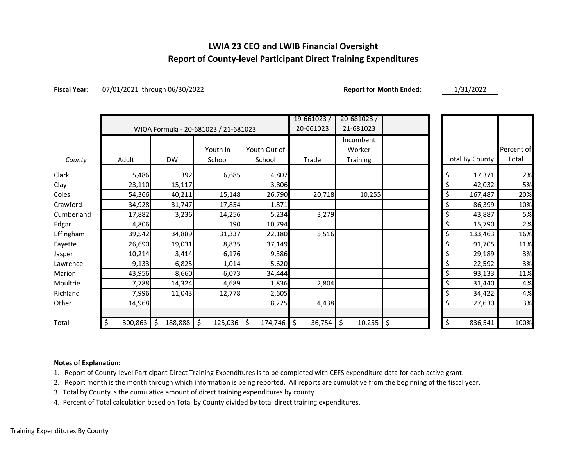## **LWIA 23 CEO and LWIB Financial Oversight Report of County-level Participant Direct Training Expenditures**

**Fiscal Year:** 07/01/2021 through 06/30/2022 **Report for Month Ended:** 1/31/2022

|            |               |                  |                                      |               | $19 - 661023/$ | $20 - 681023/$ |          |                        |            |
|------------|---------------|------------------|--------------------------------------|---------------|----------------|----------------|----------|------------------------|------------|
|            |               |                  | WIOA Formula - 20-681023 / 21-681023 | 20-661023     | 21-681023      |                |          |                        |            |
|            |               |                  |                                      |               |                | Incumbent      |          |                        |            |
|            |               |                  | Youth In                             | Youth Out of  |                | Worker         |          |                        | Percent of |
| County     | Adult         | <b>DW</b>        | School                               | School        | Trade          | Training       |          | <b>Total By County</b> | Total      |
| Clark      | 5,486         | 392              | 6,685                                | 4,807         |                |                | \$       | 17,371                 | 2%         |
| Clay       | 23,110        | 15,117           |                                      | 3,806         |                |                | \$       | 42,032                 | 5%         |
| Coles      | 54,366        | 40,211           | 15,148                               | 26,790        | 20,718         | 10,255         |          | 167,487                | 20%        |
| Crawford   | 34,928        | 31,747           | 17,854                               | 1,871         |                |                | \$       | 86,399                 | 10%        |
| Cumberland | 17,882        | 3,236            | 14,256                               | 5,234         | 3,279          |                | \$       | 43,887                 | 5%         |
| Edgar      | 4,806         |                  | 190                                  | 10,794        |                |                | \$       | 15,790                 | 2%         |
| Effingham  | 39,542        | 34,889           | 31,337                               | 22,180        | 5,516          |                | \$       | 133,463                | 16%        |
| Fayette    | 26,690        | 19,031           | 8,835                                | 37,149        |                |                | \$       | 91,705                 | 11%        |
| Jasper     | 10,214        | 3,414            | 6,176                                | 9,386         |                |                | \$       | 29,189                 | 3%         |
| Lawrence   | 9,133         | 6,825            | 1,014                                | 5,620         |                |                | \$       | 22,592                 | 3%         |
| Marion     | 43,956        | 8,660            | 6,073                                | 34,444        |                |                | \$       | 93,133                 | 11%        |
| Moultrie   | 7,788         | 14,324           | 4,689                                | 1,836         | 2,804          |                | \$       | 31,440                 | 4%         |
| Richland   | 7,996         | 11,043           | 12,778                               | 2,605         |                |                | \$       | 34,422                 | 4%         |
| Other      | 14,968        |                  |                                      | 8,225         | 4,438          |                | \$       | 27,630                 | 3%         |
| Total      | \$<br>300,863 | \$<br>188,888 \$ | 125,036                              | \$<br>174,746 | \$<br>36,754   | \$<br>10,255   | \$<br>\$ | 836,541                | 100%       |

### **Notes of Explanation:**

1. Report of County-level Participant Direct Training Expenditures is to be completed with CEFS expenditure data for each active grant.

2. Report month is the month through which information is being reported. All reports are cumulative from the beginning of the fiscal year.

3. Total by County is the cumulative amount of direct training expenditures by county.

4. Percent of Total calculation based on Total by County divided by total direct training expenditures.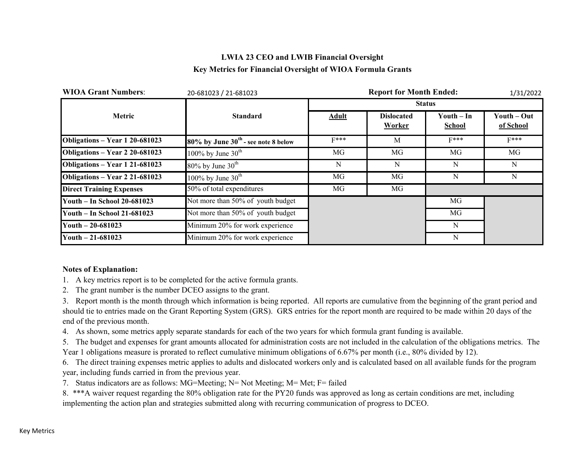## **LWIA 23 CEO and LWIB Financial Oversight Key Metrics for Financial Oversight of WIOA Formula Grants**

| <b>WIOA Grant Numbers:</b>      | 20-681023 / 21-681023                    |               | 1/31/2022                          |                      |                          |  |  |  |
|---------------------------------|------------------------------------------|---------------|------------------------------------|----------------------|--------------------------|--|--|--|
|                                 |                                          | <b>Status</b> |                                    |                      |                          |  |  |  |
| Metric                          | <b>Standard</b>                          | Adult         | <b>Dislocated</b><br><b>Worker</b> | $Youth-In$<br>School | Youth – Out<br>of School |  |  |  |
| Obligations - Year 1 20-681023  | $80\%$ by June $30th$ - see note 8 below | $F***$        | M                                  | $F***$               | $F***$                   |  |  |  |
| Obligations - Year 2 20-681023  | 100% by June $30^{\text{th}}$            | MG            | MG                                 | MG                   | MG                       |  |  |  |
| Obligations - Year 1 21-681023  | $80\%$ by June $30th$                    | N             | N                                  | N                    | N                        |  |  |  |
| Obligations - Year 2 21-681023  | 100% by June $30^{\text{th}}$            | MG            | MG                                 | N                    | N                        |  |  |  |
| <b>Direct Training Expenses</b> | 50% of total expenditures                | MG            | MG                                 |                      |                          |  |  |  |
| Youth - In School 20-681023     | Not more than 50% of youth budget        |               |                                    | MG                   |                          |  |  |  |
| Youth - In School 21-681023     | Not more than 50% of youth budget        |               |                                    | MG                   |                          |  |  |  |
| Youth $-20-681023$              | Minimum 20% for work experience          |               |                                    | N                    |                          |  |  |  |
| Youth $-21-681023$              | Minimum 20% for work experience          |               |                                    | N                    |                          |  |  |  |

### **Notes of Explanation:**

- 1. A key metrics report is to be completed for the active formula grants.
- 2. The grant number is the number DCEO assigns to the grant.

3. Report month is the month through which information is being reported. All reports are cumulative from the beginning of the grant period and should tie to entries made on the Grant Reporting System (GRS). GRS entries for the report month are required to be made within 20 days of the end of the previous month.

4. As shown, some metrics apply separate standards for each of the two years for which formula grant funding is available.

5. The budget and expenses for grant amounts allocated for administration costs are not included in the calculation of the obligations metrics. The Year 1 obligations measure is prorated to reflect cumulative minimum obligations of 6.67% per month (i.e., 80% divided by 12).

6. The direct training expenses metric applies to adults and dislocated workers only and is calculated based on all available funds for the program year, including funds carried in from the previous year.

7. Status indicators are as follows: MG=Meeting; N= Not Meeting; M= Met; F= failed

8. \*\*\*A waiver request regarding the 80% obligation rate for the PY20 funds was approved as long as certain conditions are met, including implementing the action plan and strategies submitted along with recurring communication of progress to DCEO.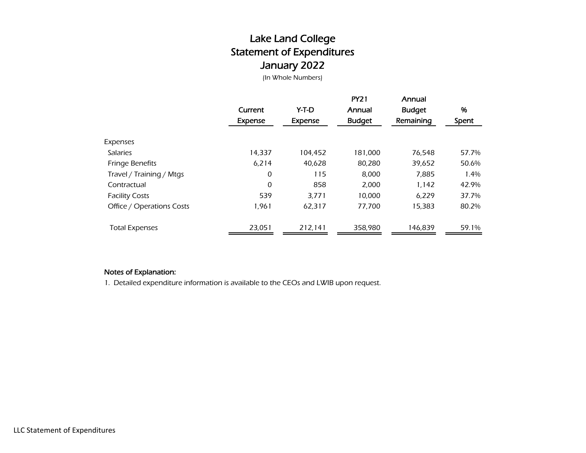# Lake Land College Statement of Expenditures January 2022

(In Whole Numbers)

|                           | Current<br>Expense | Y-T-D<br><b>Expense</b> | <b>PY21</b><br>Annual<br><b>Budget</b> | Annual<br><b>Budget</b><br>Remaining | %<br>Spent |
|---------------------------|--------------------|-------------------------|----------------------------------------|--------------------------------------|------------|
| Expenses                  |                    |                         |                                        |                                      |            |
| <b>Salaries</b>           | 14.337             | 104.452                 | 181,000                                | 76.548                               | 57.7%      |
| <b>Fringe Benefits</b>    | 6,214              | 40.628                  | 80,280                                 | 39,652                               | 50.6%      |
| Travel / Training / Mtgs  | 0                  | 115                     | 8,000                                  | 7,885                                | 1.4%       |
| Contractual               | 0                  | 858                     | 2,000                                  | 1,142                                | 42.9%      |
| <b>Facility Costs</b>     | 539                | 3,771                   | 10,000                                 | 6,229                                | 37.7%      |
| Office / Operations Costs | 1,961              | 62,317                  | 77,700                                 | 15,383                               | 80.2%      |
| <b>Total Expenses</b>     | 23,051             | 212,141                 | 358.980                                | 146,839                              | 59.1%      |

### Notes of Explanation:

1. Detailed expenditure information is available to the CEOs and LWIB upon request.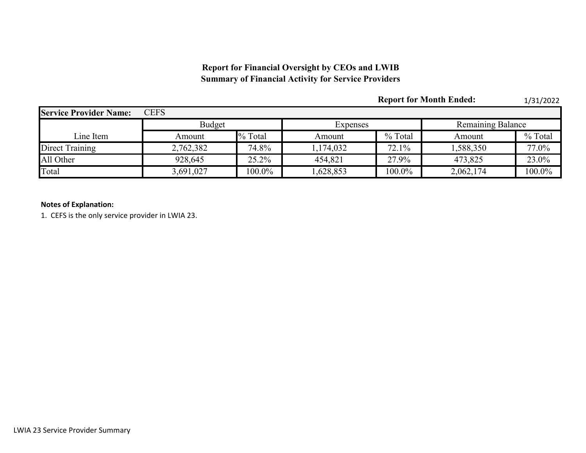## **Report for Financial Oversight by CEOs and LWIB Summary of Financial Activity for Service Providers**

|                               |               |         |           | <b>Report for Month Ended:</b> |                          | 1/31/2022 |  |
|-------------------------------|---------------|---------|-----------|--------------------------------|--------------------------|-----------|--|
| <b>Service Provider Name:</b> | <b>CEFS</b>   |         |           |                                |                          |           |  |
|                               | <b>Budget</b> |         | Expenses  |                                | <b>Remaining Balance</b> |           |  |
| Line Item                     | Amount        | % Total | Amount    | % Total                        | Amount                   | % Total   |  |
| Direct Training               | 2,762,382     | 74.8%   | 1,174,032 | 72.1%                          | 1,588,350                | 77.0%     |  |
| All Other                     | 928,645       | 25.2%   | 454,821   | 27.9%                          | 473,825                  | 23.0%     |  |
| Total                         | 3,691,027     | 100.0%  | .628,853  | 100.0%                         | 2,062,174                | 100.0%    |  |

### **Notes of Explanation:**

1. CEFS is the only service provider in LWIA 23.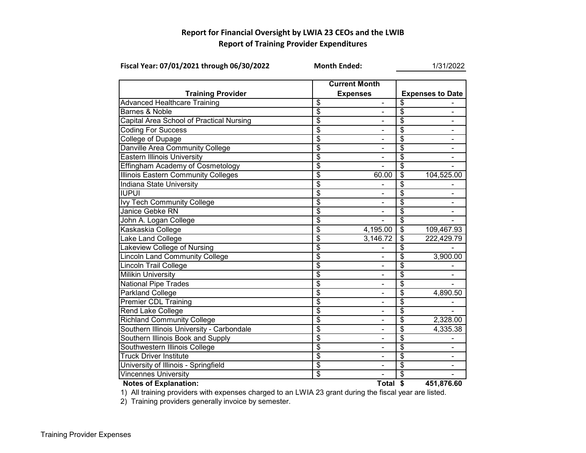## **Report for Financial Oversight by LWIA 23 CEOs and the LWIB Report of Training Provider Expenditures**

| Fiscal Year: 07/01/2021 through 06/30/2022 | <b>Month Ended:</b>      |                          |                          | 1/31/2022               |
|--------------------------------------------|--------------------------|--------------------------|--------------------------|-------------------------|
|                                            | <b>Current Month</b>     |                          |                          |                         |
| <b>Training Provider</b>                   |                          | <b>Expenses</b>          |                          | <b>Expenses to Date</b> |
| <b>Advanced Healthcare Training</b>        | \$                       | $\blacksquare$           | \$                       |                         |
| <b>Barnes &amp; Noble</b>                  | $\overline{\$}$          |                          | $\overline{\$}$          |                         |
| Capital Area School of Practical Nursing   | $\overline{\$}$          |                          | \$                       |                         |
| Coding For Success                         | $\overline{\mathcal{E}}$ |                          | \$                       |                         |
| College of Dupage                          | $\overline{\$}$          |                          | \$                       |                         |
| Danville Area Community College            | \$                       | $\blacksquare$           | \$                       | $\blacksquare$          |
| <b>Eastern Illinois University</b>         | \$                       |                          | \$                       |                         |
| <b>Effingham Academy of Cosmetology</b>    | \$                       |                          | $\overline{\mathcal{S}}$ |                         |
| <b>Illinois Eastern Community Colleges</b> | \$                       | 60.00                    | \$                       | 104,525.00              |
| Indiana State University                   | $\overline{\$}$          |                          | \$                       |                         |
| <b>IUPUI</b>                               | $\overline{\$}$          |                          | $\overline{\$}$          |                         |
| <b>Ivy Tech Community College</b>          | $\overline{\$}$          |                          | \$                       |                         |
| Janice Gebke RN                            | $\overline{\mathcal{E}}$ |                          | \$                       |                         |
| John A. Logan College                      | $\overline{\$}$          |                          | $\overline{\mathcal{S}}$ |                         |
| Kaskaskia College                          | $\overline{\mathcal{E}}$ | 4,195.00                 | \$                       | 109,467.93              |
| Lake Land College                          | \$                       | 3,146.72                 | \$                       | 222,429.79              |
| Lakeview College of Nursing                | $\overline{\$}$          |                          | $\overline{\$}$          |                         |
| <b>Lincoln Land Community College</b>      | $\overline{\mathcal{S}}$ |                          | \$                       | 3,900.00                |
| <b>Lincoln Trail College</b>               | \$                       |                          | \$                       |                         |
| <b>Milikin University</b>                  | \$                       |                          | \$                       |                         |
| <b>National Pipe Trades</b>                | \$                       |                          | \$                       |                         |
| <b>Parkland College</b>                    | \$                       |                          | \$                       | 4,890.50                |
| <b>Premier CDL Training</b>                | $\overline{\$}$          |                          | $\overline{\$}$          |                         |
| Rend Lake College                          | $\overline{\$}$          |                          | \$                       |                         |
| <b>Richland Community College</b>          | \$                       | ۰                        | \$                       | 2,328.00                |
| Southern Illinois University - Carbondale  | $\overline{\$}$          | $\overline{\phantom{a}}$ | $\overline{\$}$          | 4,335.38                |
| Southern Illinois Book and Supply          | $\overline{\$}$          | $\blacksquare$           | \$                       |                         |
| Southwestern Illinois College              | $\overline{\$}$          | Ξ.                       | $\overline{\$}$          |                         |
| <b>Truck Driver Institute</b>              | $\overline{\$}$          |                          | $\overline{\$}$          |                         |
| University of Illinois - Springfield       | $\overline{\mathbf{3}}$  |                          | \$                       |                         |
| <b>Vincennes University</b>                | $\overline{\mathcal{S}}$ |                          | \$                       |                         |
| <b>Notes of Explanation:</b>               |                          | Total \$                 |                          | 451,876.60              |

1) All training providers with expenses charged to an LWIA 23 grant during the fiscal year are listed.

2) Training providers generally invoice by semester.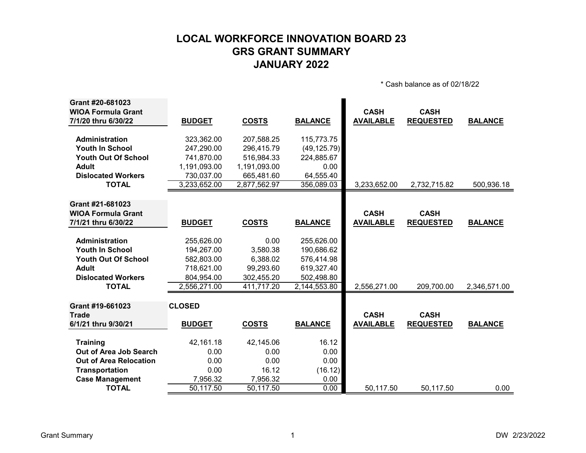# **LOCAL WORKFORCE INNOVATION BOARD 23 GRS GRANT SUMMARY JANUARY 2022**

\* Cash balance as of 02/18/22

| Grant #20-681023              |               |              |                |                  |                  |                |
|-------------------------------|---------------|--------------|----------------|------------------|------------------|----------------|
| <b>WIOA Formula Grant</b>     |               |              |                | <b>CASH</b>      | <b>CASH</b>      |                |
| 7/1/20 thru 6/30/22           | <b>BUDGET</b> | <b>COSTS</b> | <b>BALANCE</b> | <b>AVAILABLE</b> | <b>REQUESTED</b> | <b>BALANCE</b> |
| Administration                | 323,362.00    | 207,588.25   | 115,773.75     |                  |                  |                |
| <b>Youth In School</b>        | 247,290.00    | 296,415.79   | (49, 125.79)   |                  |                  |                |
| <b>Youth Out Of School</b>    | 741,870.00    | 516,984.33   | 224,885.67     |                  |                  |                |
| <b>Adult</b>                  | 1,191,093.00  | 1,191,093.00 | 0.00           |                  |                  |                |
| <b>Dislocated Workers</b>     | 730,037.00    | 665,481.60   | 64,555.40      |                  |                  |                |
| <b>TOTAL</b>                  | 3,233,652.00  | 2,877,562.97 | 356,089.03     | 3,233,652.00     | 2,732,715.82     | 500,936.18     |
|                               |               |              |                |                  |                  |                |
| Grant #21-681023              |               |              |                |                  |                  |                |
| <b>WIOA Formula Grant</b>     |               |              |                | <b>CASH</b>      | <b>CASH</b>      |                |
| 7/1/21 thru 6/30/22           | <b>BUDGET</b> | <b>COSTS</b> | <b>BALANCE</b> | <b>AVAILABLE</b> | <b>REQUESTED</b> | <b>BALANCE</b> |
| <b>Administration</b>         | 255,626.00    | 0.00         | 255,626.00     |                  |                  |                |
| <b>Youth In School</b>        | 194,267.00    | 3,580.38     | 190,686.62     |                  |                  |                |
| <b>Youth Out Of School</b>    | 582,803.00    | 6,388.02     | 576,414.98     |                  |                  |                |
| <b>Adult</b>                  | 718,621.00    | 99,293.60    | 619,327.40     |                  |                  |                |
| <b>Dislocated Workers</b>     | 804,954.00    | 302,455.20   | 502,498.80     |                  |                  |                |
| <b>TOTAL</b>                  | 2,556,271.00  | 411,717.20   | 2,144,553.80   | 2,556,271.00     | 209,700.00       | 2,346,571.00   |
|                               |               |              |                |                  |                  |                |
| Grant #19-661023              | <b>CLOSED</b> |              |                |                  |                  |                |
| <b>Trade</b>                  |               |              |                | <b>CASH</b>      | <b>CASH</b>      |                |
| 6/1/21 thru 9/30/21           | <b>BUDGET</b> | <b>COSTS</b> | <b>BALANCE</b> | <b>AVAILABLE</b> | <b>REQUESTED</b> | <b>BALANCE</b> |
|                               |               |              |                |                  |                  |                |
| <b>Training</b>               | 42,161.18     | 42,145.06    | 16.12          |                  |                  |                |
| Out of Area Job Search        | 0.00          | 0.00         | 0.00           |                  |                  |                |
| <b>Out of Area Relocation</b> | 0.00          | 0.00         | 0.00           |                  |                  |                |
| <b>Transportation</b>         | 0.00          | 16.12        | (16.12)        |                  |                  |                |
| <b>Case Management</b>        | 7,956.32      | 7,956.32     | 0.00           |                  |                  |                |
| <b>TOTAL</b>                  | 50,117.50     | 50, 117.50   | 0.00           | 50,117.50        | 50,117.50        | 0.00           |